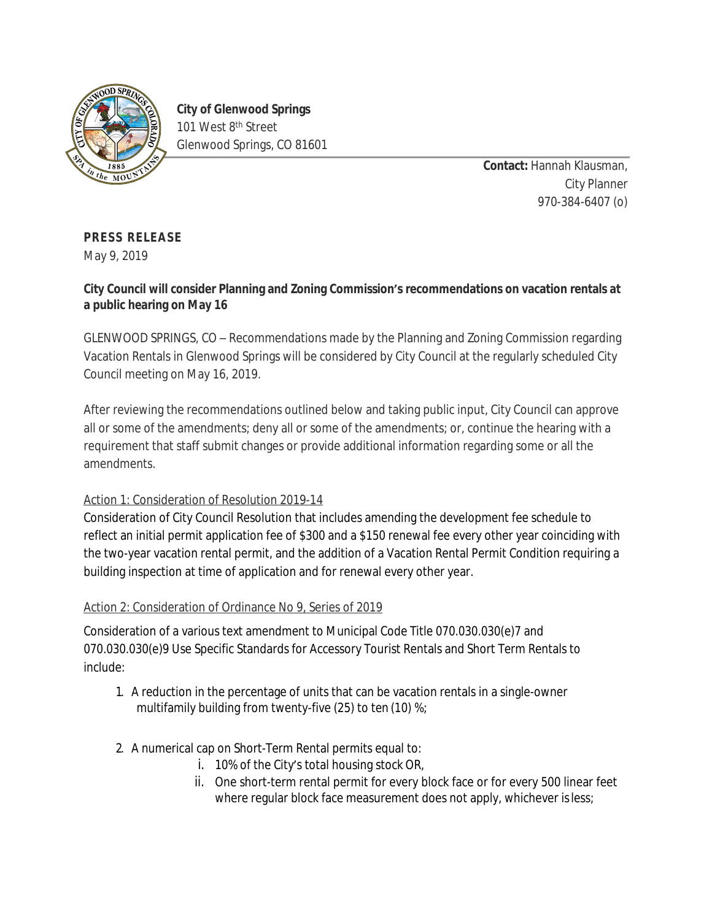

**City of Glenwood Springs** 101 West 8<sup>th</sup> Street Glenwood Springs, CO 81601

> **Contact:** Hannah Klausman, City Planner 970-384-6407 (o)

## **PRESS RELEASE**

May 9, 2019

## **City Council will consider Planning and Zoning Commission's recommendations on vacation rentals at a public hearing on May 16**

GLENWOOD SPRINGS, CO – Recommendations made by the Planning and Zoning Commission regarding Vacation Rentals in Glenwood Springs will be considered by City Council at the regularly scheduled City Council meeting on May 16, 2019.

After reviewing the recommendations outlined below and taking public input, City Council can approve all or some of the amendments; deny all or some of the amendments; or, continue the hearing with a requirement that staff submit changes or provide additional information regarding some or all the amendments.

## Action 1: Consideration of Resolution 2019-14

Consideration of City Council Resolution that includes amending the development fee schedule to reflect an initial permit application fee of \$300 and a \$150 renewal fee every other year coinciding with the two-year vacation rental permit, and the addition of a Vacation Rental Permit Condition requiring a building inspection at time of application and for renewal every other year.

## Action 2: Consideration of Ordinance No 9, Series of 2019

Consideration of a various text amendment to Municipal Code Title 070.030.030(e)7 and 070.030.030(e)9 Use Specific Standards for Accessory Tourist Rentals and Short Term Rentals to include:

- 1. A reduction in the percentage of units that can be vacation rentals in a single-owner multifamily building from twenty-five (25) to ten (10) %;
- 2. A numerical cap on Short-Term Rental permits equal to:
	- i. 10% of the City's total housing stock OR,
	- ii. One short-term rental permit for every block face or for every 500 linear feet where regular block face measurement does not apply, whichever is less;